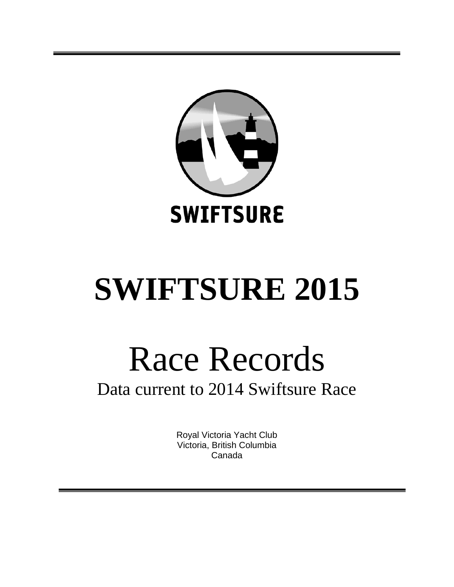

# **SWIFTSURE 2015**

# Race Records Data current to 2014 Swiftsure Race

Royal Victoria Yacht Club Victoria, British Columbia Canada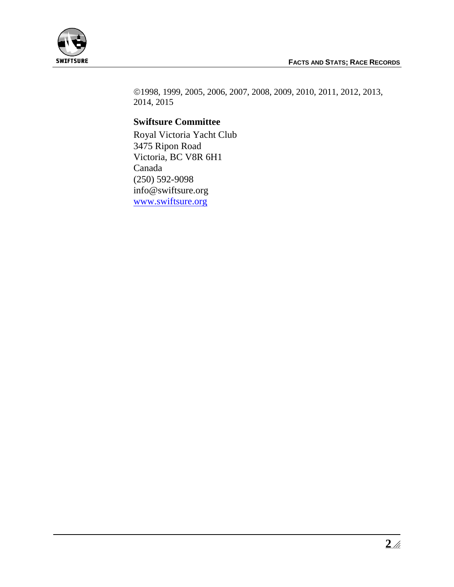

1998, 1999, 2005, 2006, 2007, 2008, 2009, 2010, 2011, 2012, 2013, 2014, 2015

## **Swiftsure Committee**

Royal Victoria Yacht Club 3475 Ripon Road Victoria, BC V8R 6H1 Canada (250) 592-9098 info@swiftsure.org [www.swiftsure.org](http://www.swiftsure.org/)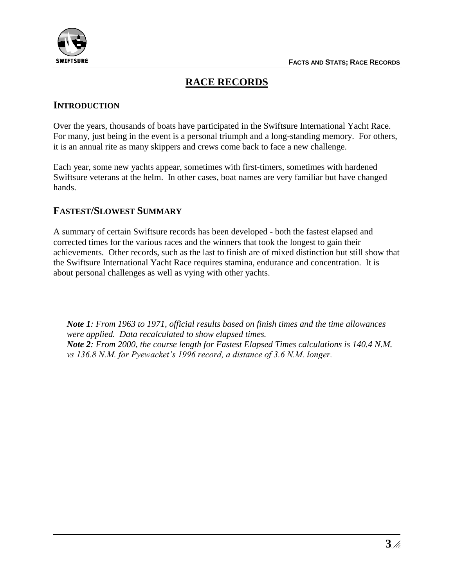

# **RACE RECORDS**

#### **INTRODUCTION**

Over the years, thousands of boats have participated in the Swiftsure International Yacht Race. For many, just being in the event is a personal triumph and a long-standing memory. For others, it is an annual rite as many skippers and crews come back to face a new challenge.

Each year, some new yachts appear, sometimes with first-timers, sometimes with hardened Swiftsure veterans at the helm. In other cases, boat names are very familiar but have changed hands.

#### **FASTEST/SLOWEST SUMMARY**

A summary of certain Swiftsure records has been developed - both the fastest elapsed and corrected times for the various races and the winners that took the longest to gain their achievements. Other records, such as the last to finish are of mixed distinction but still show that the Swiftsure International Yacht Race requires stamina, endurance and concentration. It is about personal challenges as well as vying with other yachts.

*Note 1: From 1963 to 1971, official results based on finish times and the time allowances were applied. Data recalculated to show elapsed times. Note 2: From 2000, the course length for Fastest Elapsed Times calculations is 140.4 N.M. vs 136.8 N.M. for Pyewacket's 1996 record, a distance of 3.6 N.M. longer.*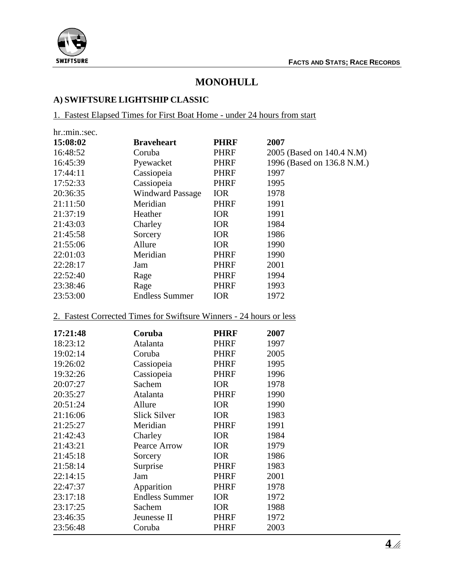

# **MONOHULL**

# **A) SWIFTSURE LIGHTSHIP CLASSIC**

1. Fastest Elapsed Times for First Boat Home - under 24 hours from start

| hr.:min.:sec. |                         |             |                            |
|---------------|-------------------------|-------------|----------------------------|
| 15:08:02      | <b>Braveheart</b>       | <b>PHRF</b> | 2007                       |
| 16:48:52      | Coruba                  | <b>PHRF</b> | 2005 (Based on 140.4 N.M)  |
| 16:45:39      | Pyewacket               | <b>PHRF</b> | 1996 (Based on 136.8 N.M.) |
| 17:44:11      | Cassiopeia              | <b>PHRF</b> | 1997                       |
| 17:52:33      | Cassiopeia              | PHRF        | 1995                       |
| 20:36:35      | <b>Windward Passage</b> | <b>IOR</b>  | 1978                       |
| 21:11:50      | Meridian                | <b>PHRF</b> | 1991                       |
| 21:37:19      | Heather                 | <b>IOR</b>  | 1991                       |
| 21:43:03      | Charley                 | <b>IOR</b>  | 1984                       |
| 21:45:58      | Sorcery                 | <b>IOR</b>  | 1986                       |
| 21:55:06      | Allure                  | <b>IOR</b>  | 1990                       |
| 22:01:03      | Meridian                | <b>PHRF</b> | 1990                       |
| 22:28:17      | Jam                     | <b>PHRF</b> | 2001                       |
| 22:52:40      | Rage                    | <b>PHRF</b> | 1994                       |
| 23:38:46      | Rage                    | PHRF        | 1993                       |
| 23:53:00      | <b>Endless Summer</b>   | <b>IOR</b>  | 1972                       |

#### 2. Fastest Corrected Times for Swiftsure Winners - 24 hours or less

| 17:21:48 | Coruba                | <b>PHRF</b> | 2007 |
|----------|-----------------------|-------------|------|
| 18:23:12 | Atalanta              | <b>PHRF</b> | 1997 |
| 19:02:14 | Coruba                | <b>PHRF</b> | 2005 |
| 19:26:02 | Cassiopeia            | <b>PHRF</b> | 1995 |
| 19:32:26 | Cassiopeia            | <b>PHRF</b> | 1996 |
| 20:07:27 | Sachem                | <b>IOR</b>  | 1978 |
| 20:35:27 | Atalanta              | <b>PHRF</b> | 1990 |
| 20:51:24 | Allure                | <b>IOR</b>  | 1990 |
| 21:16:06 | <b>Slick Silver</b>   | <b>IOR</b>  | 1983 |
| 21:25:27 | Meridian              | <b>PHRF</b> | 1991 |
| 21:42:43 | Charley               | <b>IOR</b>  | 1984 |
| 21:43:21 | Pearce Arrow          | <b>IOR</b>  | 1979 |
| 21:45:18 | Sorcery               | <b>IOR</b>  | 1986 |
| 21:58:14 | Surprise              | <b>PHRF</b> | 1983 |
| 22:14:15 | Jam                   | <b>PHRF</b> | 2001 |
| 22:47:37 | Apparition            | <b>PHRF</b> | 1978 |
| 23:17:18 | <b>Endless Summer</b> | <b>IOR</b>  | 1972 |
| 23:17:25 | Sachem                | <b>IOR</b>  | 1988 |
| 23:46:35 | Jeunesse II           | <b>PHRF</b> | 1972 |
| 23:56:48 | Coruba                | PHRF        | 2003 |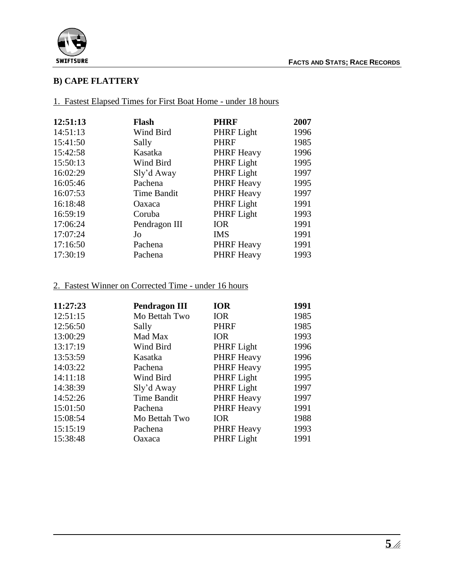

#### **B) CAPE FLATTERY**

1. Fastest Elapsed Times for First Boat Home - under 18 hours

| 12:51:13 | <b>Flash</b>       | <b>PHRF</b>       | 2007 |
|----------|--------------------|-------------------|------|
| 14:51:13 | Wind Bird          | PHRF Light        | 1996 |
| 15:41:50 | Sally              | <b>PHRF</b>       | 1985 |
| 15:42:58 | Kasatka            | <b>PHRF Heavy</b> | 1996 |
| 15:50:13 | Wind Bird          | PHRF Light        | 1995 |
| 16:02:29 | Sly'd Away         | PHRF Light        | 1997 |
| 16:05:46 | Pachena            | <b>PHRF Heavy</b> | 1995 |
| 16:07:53 | <b>Time Bandit</b> | <b>PHRF Heavy</b> | 1997 |
| 16:18:48 | Oaxaca             | PHRF Light        | 1991 |
| 16:59:19 | Coruba             | PHRF Light        | 1993 |
| 17:06:24 | Pendragon III      | <b>IOR</b>        | 1991 |
| 17:07:24 | Jo                 | <b>IMS</b>        | 1991 |
| 17:16:50 | Pachena            | <b>PHRF Heavy</b> | 1991 |
| 17:30:19 | Pachena            | <b>PHRF Heavy</b> | 1993 |

#### 2. Fastest Winner on Corrected Time - under 16 hours

| 11:27:23 | <b>Pendragon III</b> | <b>IOR</b>        | 1991 |
|----------|----------------------|-------------------|------|
| 12:51:15 | Mo Bettah Two        | <b>IOR</b>        | 1985 |
| 12:56:50 | Sally                | <b>PHRF</b>       | 1985 |
| 13:00:29 | Mad Max              | <b>IOR</b>        | 1993 |
| 13:17:19 | Wind Bird            | PHRF Light        | 1996 |
| 13:53:59 | Kasatka              | <b>PHRF Heavy</b> | 1996 |
| 14:03:22 | Pachena              | <b>PHRF</b> Heavy | 1995 |
| 14:11:18 | Wind Bird            | PHRF Light        | 1995 |
| 14:38:39 | Sly'd Away           | PHRF Light        | 1997 |
| 14:52:26 | <b>Time Bandit</b>   | <b>PHRF Heavy</b> | 1997 |
| 15:01:50 | Pachena              | <b>PHRF Heavy</b> | 1991 |
| 15:08:54 | Mo Bettah Two        | <b>IOR</b>        | 1988 |
| 15:15:19 | Pachena              | <b>PHRF Heavy</b> | 1993 |
| 15:38:48 | Oaxaca               | PHRF Light        | 1991 |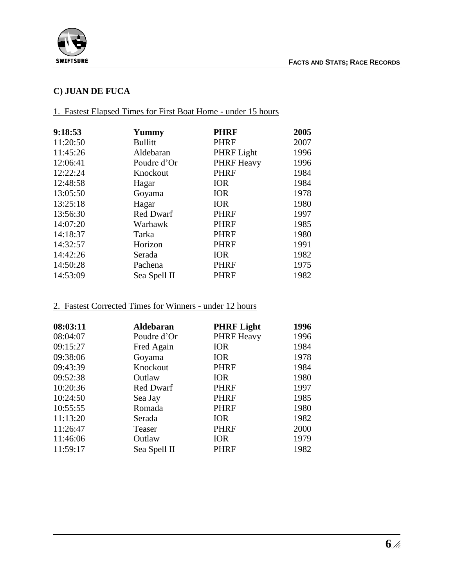

# **C) JUAN DE FUCA**

#### 1. Fastest Elapsed Times for First Boat Home - under 15 hours

| 9:18:53  | Yummy            | <b>PHRF</b>       | 2005 |
|----------|------------------|-------------------|------|
| 11:20:50 | <b>Bullitt</b>   | <b>PHRF</b>       | 2007 |
| 11:45:26 | Aldebaran        | PHRF Light        | 1996 |
| 12:06:41 | Poudre d'Or      | <b>PHRF Heavy</b> | 1996 |
| 12:22:24 | Knockout         | <b>PHRF</b>       | 1984 |
| 12:48:58 | Hagar            | <b>IOR</b>        | 1984 |
| 13:05:50 | Goyama           | <b>IOR</b>        | 1978 |
| 13:25:18 | Hagar            | <b>IOR</b>        | 1980 |
| 13:56:30 | <b>Red Dwarf</b> | <b>PHRF</b>       | 1997 |
| 14:07:20 | Warhawk          | <b>PHRF</b>       | 1985 |
| 14:18:37 | Tarka            | <b>PHRF</b>       | 1980 |
| 14:32:57 | Horizon          | <b>PHRF</b>       | 1991 |
| 14:42:26 | Serada           | <b>IOR</b>        | 1982 |
| 14:50:28 | Pachena          | <b>PHRF</b>       | 1975 |
| 14:53:09 | Sea Spell II     | PHRF              | 1982 |

#### 2. Fastest Corrected Times for Winners - under 12 hours

| 08:03:11 | <b>Aldebaran</b> | <b>PHRF Light</b> | 1996 |
|----------|------------------|-------------------|------|
| 08:04:07 | Poudre d'Or      | <b>PHRF Heavy</b> | 1996 |
| 09:15:27 | Fred Again       | <b>IOR</b>        | 1984 |
| 09:38:06 | Goyama           | <b>IOR</b>        | 1978 |
| 09:43:39 | Knockout         | <b>PHRF</b>       | 1984 |
| 09:52:38 | Outlaw           | <b>IOR</b>        | 1980 |
| 10:20:36 | <b>Red Dwarf</b> | <b>PHRF</b>       | 1997 |
| 10:24:50 | Sea Jay          | <b>PHRF</b>       | 1985 |
| 10:55:55 | Romada           | <b>PHRF</b>       | 1980 |
| 11:13:20 | Serada           | <b>IOR</b>        | 1982 |
| 11:26:47 | Teaser           | <b>PHRF</b>       | 2000 |
| 11:46:06 | Outlaw           | <b>IOR</b>        | 1979 |
| 11:59:17 | Sea Spell II     | <b>PHRF</b>       | 1982 |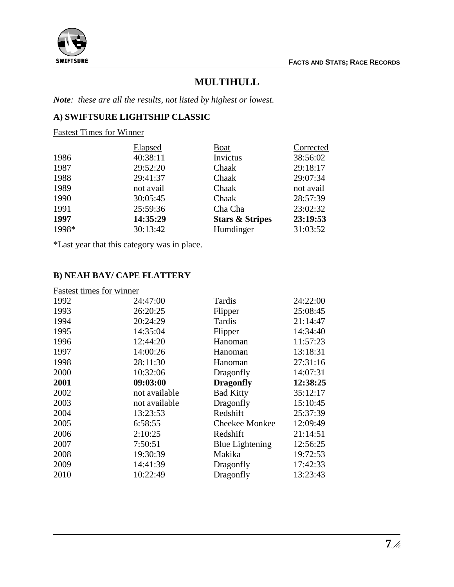

# **MULTIHULL**

*Note: these are all the results, not listed by highest or lowest.*

# **A) SWIFTSURE LIGHTSHIP CLASSIC**

Fastest Times for Winner

|       | Elapsed   | <b>Boat</b>                | Corrected |
|-------|-----------|----------------------------|-----------|
| 1986  | 40:38:11  | Invictus                   | 38:56:02  |
| 1987  | 29:52:20  | Chaak                      | 29:18:17  |
| 1988  | 29:41:37  | Chaak                      | 29:07:34  |
| 1989  | not avail | Chaak                      | not avail |
| 1990  | 30:05:45  | Chaak                      | 28:57:39  |
| 1991  | 25:59:36  | Cha Cha                    | 23:02:32  |
| 1997  | 14:35:29  | <b>Stars &amp; Stripes</b> | 23:19:53  |
| 1998* | 30:13:42  | Humdinger                  | 31:03:52  |

\*Last year that this category was in place.

### **B) NEAH BAY/ CAPE FLATTERY**

| Fastest times for winner |               |                        |          |
|--------------------------|---------------|------------------------|----------|
| 1992                     | 24:47:00      | Tardis                 | 24:22:00 |
| 1993                     | 26:20:25      | Flipper                | 25:08:45 |
| 1994                     | 20:24:29      | Tardis                 | 21:14:47 |
| 1995                     | 14:35:04      | Flipper                | 14:34:40 |
| 1996                     | 12:44:20      | Hanoman                | 11:57:23 |
| 1997                     | 14:00:26      | Hanoman                | 13:18:31 |
| 1998                     | 28:11:30      | Hanoman                | 27:31:16 |
| 2000                     | 10:32:06      | Dragonfly              | 14:07:31 |
| 2001                     | 09:03:00      | <b>Dragonfly</b>       | 12:38:25 |
| 2002                     | not available | <b>Bad Kitty</b>       | 35:12:17 |
| 2003                     | not available | Dragonfly              | 15:10:45 |
| 2004                     | 13:23:53      | Redshift               | 25:37:39 |
| 2005                     | 6:58:55       | Cheekee Monkee         | 12:09:49 |
| 2006                     | 2:10:25       | Redshift               | 21:14:51 |
| 2007                     | 7:50:51       | <b>Blue Lightening</b> | 12:56:25 |
| 2008                     | 19:30:39      | Makika                 | 19:72:53 |
| 2009                     | 14:41:39      | Dragonfly              | 17:42:33 |
| 2010                     | 10:22:49      | Dragonfly              | 13:23:43 |
|                          |               |                        |          |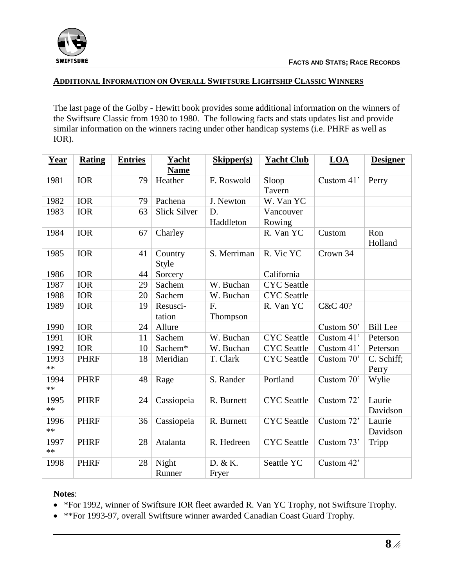

#### **ADDITIONAL INFORMATION ON OVERALL SWIFTSURE LIGHTSHIP CLASSIC WINNERS**

The last page of the Golby - Hewitt book provides some additional information on the winners of the Swiftsure Classic from 1930 to 1980. The following facts and stats updates list and provide similar information on the winners racing under other handicap systems (i.e. PHRF as well as IOR).

| Year         | <b>Rating</b> | <b>Entries</b> | Yacht<br><b>Name</b> | <b>Skipper(s)</b> | <b>Yacht Club</b>  | LOA        | <b>Designer</b>     |
|--------------|---------------|----------------|----------------------|-------------------|--------------------|------------|---------------------|
| 1981         | <b>IOR</b>    | 79             | Heather              | F. Roswold        | Sloop              | Custom 41' | Perry               |
|              |               |                |                      |                   | Tavern             |            |                     |
| 1982         | <b>IOR</b>    | 79             | Pachena              | J. Newton         | W. Van YC          |            |                     |
| 1983         | <b>IOR</b>    | 63             | <b>Slick Silver</b>  | D.                | Vancouver          |            |                     |
|              |               |                |                      | Haddleton         | Rowing             |            |                     |
| 1984         | <b>IOR</b>    | 67             | Charley              |                   | R. Van YC          | Custom     | Ron<br>Holland      |
| 1985         | <b>IOR</b>    | 41             | Country<br>Style     | S. Merriman       | R. Vic YC          | Crown 34   |                     |
| 1986         | <b>IOR</b>    | 44             | Sorcery              |                   | California         |            |                     |
| 1987         | <b>IOR</b>    | 29             | Sachem               | W. Buchan         | <b>CYC</b> Seattle |            |                     |
| 1988         | <b>IOR</b>    | 20             | Sachem               | W. Buchan         | <b>CYC</b> Seattle |            |                     |
| 1989         | <b>IOR</b>    | 19             | Resusci-             | F.                | R. Van YC          | C&C 40?    |                     |
|              |               |                | tation               | Thompson          |                    |            |                     |
| 1990         | <b>IOR</b>    | 24             | Allure               |                   |                    | Custom 50' | <b>Bill Lee</b>     |
| 1991         | <b>IOR</b>    | 11             | Sachem               | W. Buchan         | <b>CYC</b> Seattle | Custom 41' | Peterson            |
| 1992         | <b>IOR</b>    | 10             | Sachem*              | W. Buchan         | <b>CYC</b> Seattle | Custom 41' | Peterson            |
| 1993<br>$**$ | <b>PHRF</b>   | 18             | Meridian             | T. Clark          | <b>CYC</b> Seattle | Custom 70' | C. Schiff;<br>Perry |
| 1994<br>$**$ | <b>PHRF</b>   | 48             | Rage                 | S. Rander         | Portland           | Custom 70' | Wylie               |
| 1995<br>$**$ | <b>PHRF</b>   | 24             | Cassiopeia           | R. Burnett        | <b>CYC</b> Seattle | Custom 72' | Laurie<br>Davidson  |
| 1996<br>**   | <b>PHRF</b>   | 36             | Cassiopeia           | R. Burnett        | <b>CYC</b> Seattle | Custom 72' | Laurie<br>Davidson  |
| 1997<br>$**$ | <b>PHRF</b>   | 28             | Atalanta             | R. Hedreen        | <b>CYC</b> Seattle | Custom 73' | Tripp               |
| 1998         | <b>PHRF</b>   | 28             | Night<br>Runner      | D. & K.<br>Fryer  | Seattle YC         | Custom 42' |                     |

#### **Notes**:

• \*For 1992, winner of Swiftsure IOR fleet awarded R. Van YC Trophy, not Swiftsure Trophy.

\*\*For 1993-97, overall Swiftsure winner awarded Canadian Coast Guard Trophy.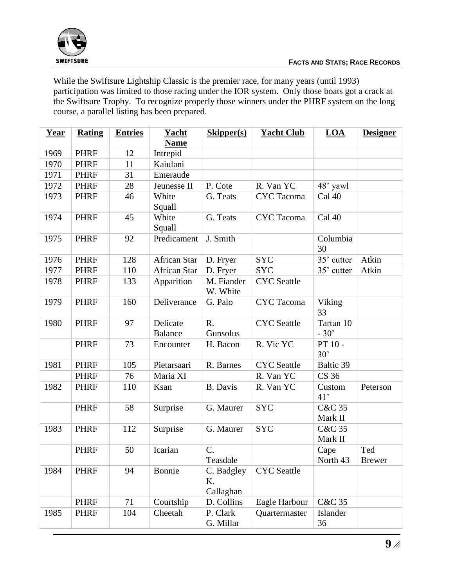

While the Swiftsure Lightship Classic is the premier race, for many years (until 1993) participation was limited to those racing under the IOR system. Only those boats got a crack at the Swiftsure Trophy. To recognize properly those winners under the PHRF system on the long course, a parallel listing has been prepared.

| <b>Year</b> | <b>Rating</b> | <b>Entries</b> | <b>Yacht</b><br><b>Name</b> | <b>Skipper(s)</b>             | <b>Yacht Club</b>  | LOA                          | <b>Designer</b>      |
|-------------|---------------|----------------|-----------------------------|-------------------------------|--------------------|------------------------------|----------------------|
| 1969        | <b>PHRF</b>   | 12             | Intrepid                    |                               |                    |                              |                      |
| 1970        | <b>PHRF</b>   | 11             | Kaiulani                    |                               |                    |                              |                      |
| 1971        | <b>PHRF</b>   | 31             | Emeraude                    |                               |                    |                              |                      |
| 1972        | <b>PHRF</b>   | 28             | Jeunesse II                 | P. Cote                       | R. Van YC          | 48' yawl                     |                      |
| 1973        | <b>PHRF</b>   | 46             | White<br>Squall             | G. Teats                      | <b>CYC</b> Tacoma  | Cal 40                       |                      |
| 1974        | <b>PHRF</b>   | 45             | White<br>Squall             | G. Teats                      | <b>CYC</b> Tacoma  | Cal 40                       |                      |
| 1975        | <b>PHRF</b>   | 92             | Predicament                 | J. Smith                      |                    | Columbia<br>30               |                      |
| 1976        | <b>PHRF</b>   | 128            | African Star                | D. Fryer                      | <b>SYC</b>         | 35' cutter                   | Atkin                |
| 1977        | <b>PHRF</b>   | 110            | <b>African Star</b>         | D. Fryer                      | <b>SYC</b>         | 35' cutter                   | Atkin                |
| 1978        | <b>PHRF</b>   | 133            | Apparition                  | M. Fiander<br>W. White        | <b>CYC</b> Seattle |                              |                      |
| 1979        | <b>PHRF</b>   | 160            | Deliverance                 | G. Palo                       | <b>CYC</b> Tacoma  | Viking<br>33                 |                      |
| 1980        | <b>PHRF</b>   | 97             | Delicate<br><b>Balance</b>  | R.<br>Gunsolus                | <b>CYC</b> Seattle | Tartan 10<br>$-30'$          |                      |
|             | <b>PHRF</b>   | 73             | Encounter                   | H. Bacon                      | R. Vic YC          | PT 10 -<br>30'               |                      |
| 1981        | <b>PHRF</b>   | 105            | Pietarsaari                 | R. Barnes                     | <b>CYC</b> Seattle | Baltic 39                    |                      |
|             | <b>PHRF</b>   | 76             | Maria XI                    |                               | R. Van YC          | <b>CS 36</b>                 |                      |
| 1982        | <b>PHRF</b>   | 110            | Ksan                        | <b>B.</b> Davis               | R. Van YC          | Custom<br>41'                | Peterson             |
|             | <b>PHRF</b>   | 58             | Surprise                    | G. Maurer                     | <b>SYC</b>         | <b>C&amp;C 35</b><br>Mark II |                      |
| 1983        | <b>PHRF</b>   | 112            | Surprise                    | G. Maurer                     | <b>SYC</b>         | <b>C&amp;C 35</b><br>Mark II |                      |
|             | <b>PHRF</b>   | 50             | Icarian                     | C.<br>Teasdale                |                    | Cape<br>North 43             | Ted<br><b>Brewer</b> |
| 1984        | <b>PHRF</b>   | 94             | Bonnie                      | C. Badgley<br>K.<br>Callaghan | <b>CYC</b> Seattle |                              |                      |
|             | <b>PHRF</b>   | 71             | Courtship                   | D. Collins                    | Eagle Harbour      | <b>C&amp;C 35</b>            |                      |
| 1985        | <b>PHRF</b>   | 104            | Cheetah                     | P. Clark<br>G. Millar         | Quartermaster      | Islander<br>36               |                      |